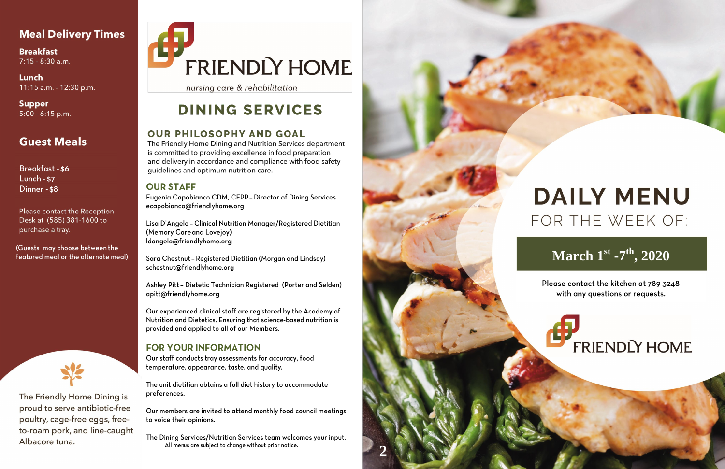## **Meal Delivery Times**

**Breakfast**  $7:15 - 8:30$  a.m.

Lunch 11:15 a.m. - 12:30 p.m.

**Supper**  $5:00 - 6:15$  p.m.

## **Guest Meals**

**Breakfast - \$6** Lunch -  $$7$ Dinner - \$8

Please contact the Reception Desk at (585) 381-1600 to purchase a tray.

(Guests may choose between the featured meal or the alternate meal)



The Friendly Home Dining is proud to serve antibiotic-free poultry, cage-free eggs, freeto-roam pork, and line-caught Albacore tuna.

# **FRIENDLY HOME**

nursing care & rehabilitation

# **DINING SERVICES**

## **OUR PHILOSOPHY AND GOAL**

The Friendly Home Dining and Nutrition Services department is committed to providing excellence in food preparation and delivery in accordance and compliance with food safety quidelines and optimum nutrition care.

### **OUR STAFF**

Eugenia Capobianco CDM, CFPP - Director of Dining Services ecapobianco@friendlyhome.org

Lisa D'Angelo - Clinical Nutrition Manager/Registered Dietitian (Memory Care and Lovejoy) Idangelo@friendlyhome.org

Sara Chestnut - Registered Dietitian (Morgan and Lindsay) schestnut@friendlyhome.org

Ashley Pitt - Dietetic Technician Registered (Porter and Selden) apitt@friendlyhome.org

Our experienced clinical staff are registered by the Academy of Nutrition and Dietetics. Ensuring that science-based nutrition is provided and applied to all of our Members.

## **FOR YOUR INFORMATION**

Our staff conducts tray assessments for accuracy, food temperature, appearance, taste, and quality.

The unit dietitian obtains a full diet history to accommodate preferences.

Our members are invited to attend monthly food council meetings to voice their opinions.

The Dining Services/Nutrition Services team welcomes your input. All menus are subject to change without prior notice.



# **DAILY MENU** FOR THE WEEK OF:

# March 1st -7th, 2020

Please contact the kitchen at 789-3248 with any questions or requests.

# **FRIENDLY HOME**